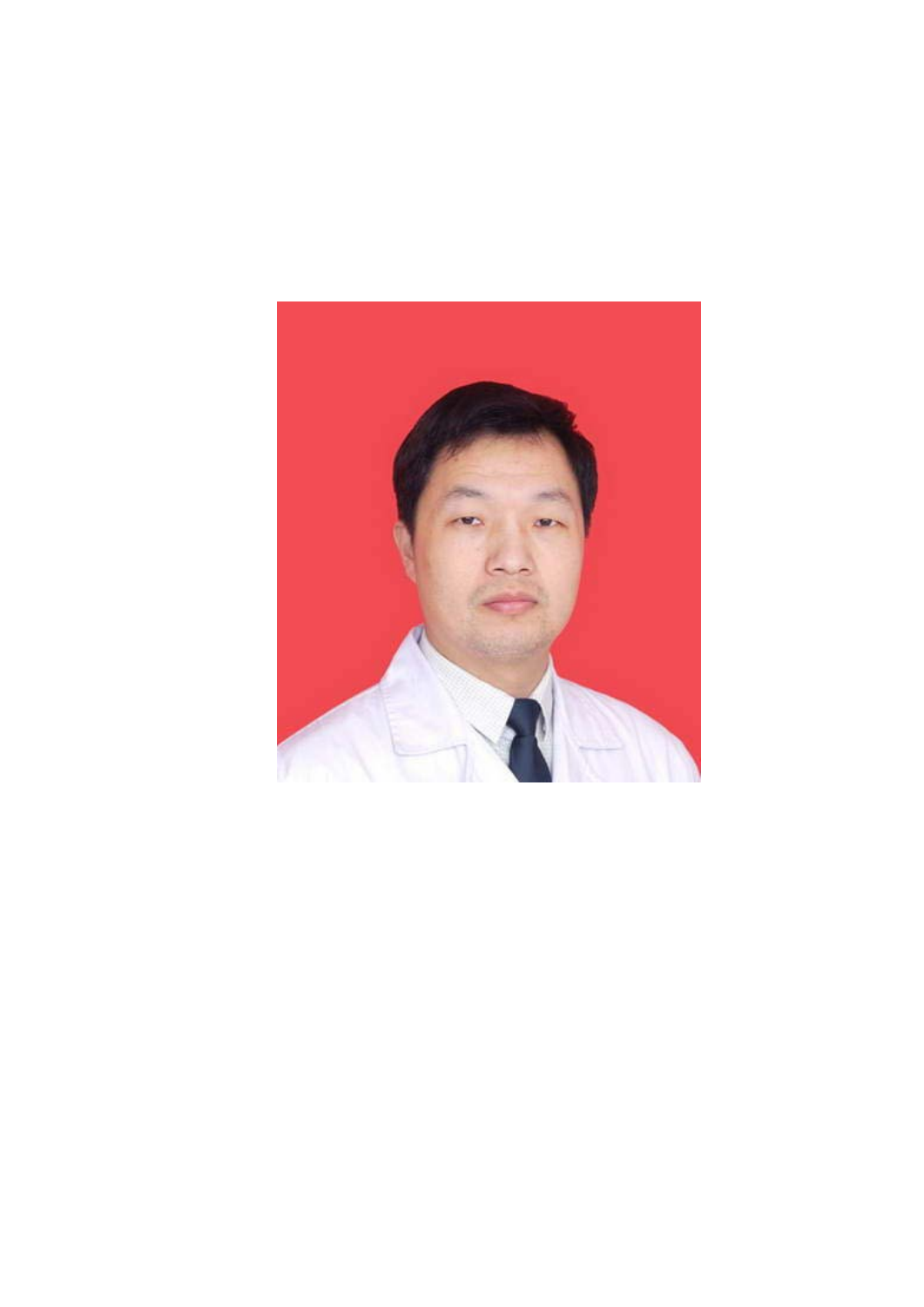